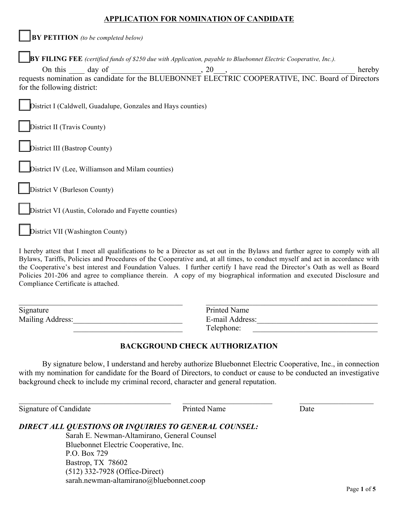## **APPLICATION FOR NOMINATION OF CANDIDATE**

|                                      | $\vert$ BY PETITION (to be completed below)                  |                                                                                                                         |  |
|--------------------------------------|--------------------------------------------------------------|-------------------------------------------------------------------------------------------------------------------------|--|
|                                      |                                                              | <b>BY FILING FEE</b> (certified funds of \$250 due with Application, payable to Bluebonnet Electric Cooperative, Inc.). |  |
| for the following district:          |                                                              | On this day of equests nomination as candidate for the BLUEBONNET ELECTRIC COOPERATIVE, INC. Board of Directors         |  |
|                                      | District I (Caldwell, Guadalupe, Gonzales and Hays counties) |                                                                                                                         |  |
| District II (Travis County)          |                                                              |                                                                                                                         |  |
| <b>District III</b> (Bastrop County) |                                                              |                                                                                                                         |  |
|                                      | District IV (Lee, Williamson and Milam counties)             |                                                                                                                         |  |
| <b>District V</b> (Burleson County)  |                                                              |                                                                                                                         |  |
|                                      | District VI (Austin, Colorado and Fayette counties)          |                                                                                                                         |  |
| District VII (Washington County)     |                                                              |                                                                                                                         |  |
|                                      |                                                              |                                                                                                                         |  |

I hereby attest that I meet all qualifications to be a Director as set out in the Bylaws and further agree to comply with all Bylaws, Tariffs, Policies and Procedures of the Cooperative and, at all times, to conduct myself and act in accordance with the Cooperative's best interest and Foundation Values. I further certify I have read the Director's Oath as well as Board Policies 201-206 and agree to compliance therein. A copy of my biographical information and executed Disclosure and Compliance Certificate is attached.

| Signature               | Printed Name    |  |
|-------------------------|-----------------|--|
| <b>Mailing Address:</b> | E-mail Address: |  |
|                         | Telephone:      |  |

# **BACKGROUND CHECK AUTHORIZATION**

By signature below, I understand and hereby authorize Bluebonnet Electric Cooperative, Inc., in connection with my nomination for candidate for the Board of Directors, to conduct or cause to be conducted an investigative background check to include my criminal record, character and general reputation.

 $\_$  , and the state of the state of the state of the state of the state of the state of the state of the state of the state of the state of the state of the state of the state of the state of the state of the state of the

Signature of Candidate **Printed Name** Date

# *DIRECT ALL QUESTIONS OR INQUIRIES TO GENERAL COUNSEL:*

Sarah E. Newman-Altamirano, General Counsel Bluebonnet Electric Cooperative, Inc. P.O. Box 729 Bastrop, TX 78602 (512) 332-7928 (Office-Direct) sarah.newman-altamirano@bluebonnet.coop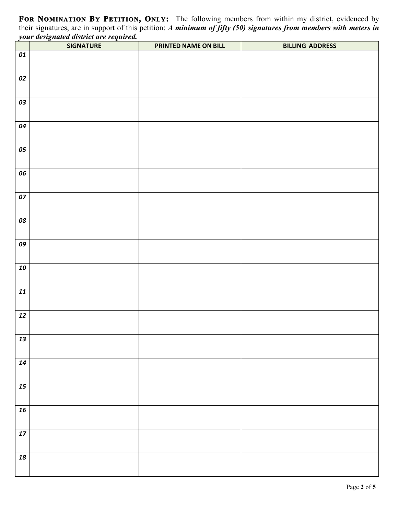**FOR NOMINATION BY PETITION, ONLY:** The following members from within my district, evidenced by their signatures, are in support of this petition: *A minimum of fifty (50) signatures from members with meters in your designated district are required.*

|            | <b>SIGNATURE</b> | PRINTED NAME ON BILL | <b>BILLING ADDRESS</b> |
|------------|------------------|----------------------|------------------------|
| 01         |                  |                      |                        |
| 02         |                  |                      |                        |
| 03         |                  |                      |                        |
| 04         |                  |                      |                        |
| 05         |                  |                      |                        |
| 06         |                  |                      |                        |
| 07         |                  |                      |                        |
| 08         |                  |                      |                        |
| 09         |                  |                      |                        |
| 10         |                  |                      |                        |
| 11         |                  |                      |                        |
| $\bf{12}$  |                  |                      |                        |
| 13         |                  |                      |                        |
| $\bf{14}$  |                  |                      |                        |
| $\bf 15$   |                  |                      |                        |
| ${\bf 16}$ |                  |                      |                        |
| $\bf 17$   |                  |                      |                        |
| ${\bf 18}$ |                  |                      |                        |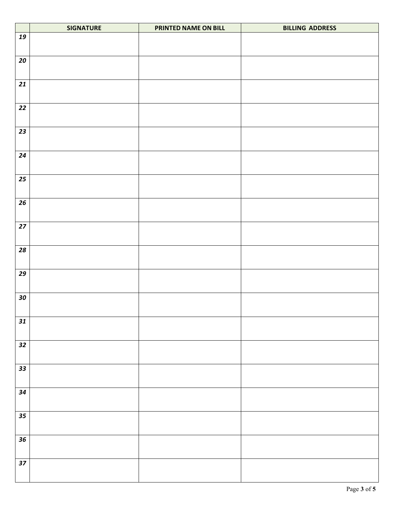|                   | <b>SIGNATURE</b> | PRINTED NAME ON BILL | <b>BILLING ADDRESS</b> |
|-------------------|------------------|----------------------|------------------------|
| 19                |                  |                      |                        |
| 20                |                  |                      |                        |
| 21                |                  |                      |                        |
| $22$              |                  |                      |                        |
| 23                |                  |                      |                        |
| 24                |                  |                      |                        |
| $25\phantom{.0}$  |                  |                      |                        |
| 26                |                  |                      |                        |
| 27                |                  |                      |                        |
| $\boldsymbol{28}$ |                  |                      |                        |
| $\overline{29}$   |                  |                      |                        |
| ${\bf 30}$        |                  |                      |                        |
| 31                |                  |                      |                        |
| 32                |                  |                      |                        |
| $\overline{33}$   |                  |                      |                        |
| 34                |                  |                      |                        |
| 35                |                  |                      |                        |
| 36                |                  |                      |                        |
| $37$              |                  |                      |                        |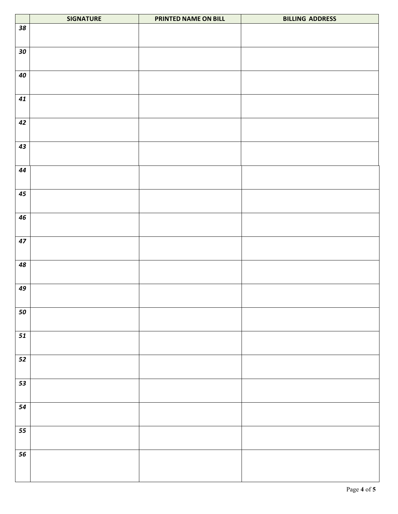|            | <b>SIGNATURE</b> | PRINTED NAME ON BILL | <b>BILLING ADDRESS</b> |
|------------|------------------|----------------------|------------------------|
| 38         |                  |                      |                        |
| ${\bf 30}$ |                  |                      |                        |
| 40         |                  |                      |                        |
| 41         |                  |                      |                        |
| 42         |                  |                      |                        |
| 43         |                  |                      |                        |
| 44         |                  |                      |                        |
| $\bf 45$   |                  |                      |                        |
| 46         |                  |                      |                        |
| 47         |                  |                      |                        |
| 48         |                  |                      |                        |
| 49         |                  |                      |                        |
| 50         |                  |                      |                        |
| 51         |                  |                      |                        |
| $52\,$     |                  |                      |                        |
| 53         |                  |                      |                        |
| 54         |                  |                      |                        |
| 55         |                  |                      |                        |
| 56         |                  |                      |                        |
|            |                  |                      |                        |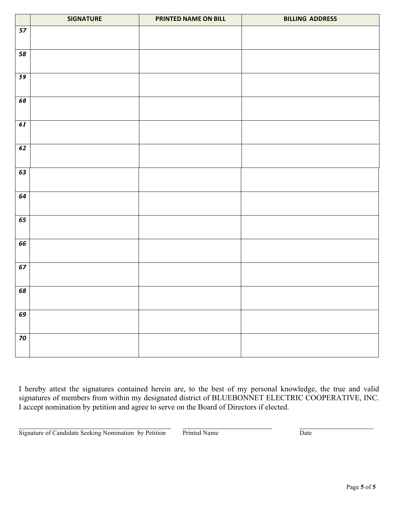|                   | <b>SIGNATURE</b> | PRINTED NAME ON BILL | <b>BILLING ADDRESS</b> |
|-------------------|------------------|----------------------|------------------------|
| 57                |                  |                      |                        |
| 58                |                  |                      |                        |
| 59                |                  |                      |                        |
| 60                |                  |                      |                        |
| 61                |                  |                      |                        |
| 62                |                  |                      |                        |
| 63                |                  |                      |                        |
| 64                |                  |                      |                        |
| 65                |                  |                      |                        |
| 66                |                  |                      |                        |
| 67                |                  |                      |                        |
| 68                |                  |                      |                        |
| 69                |                  |                      |                        |
| $\boldsymbol{70}$ |                  |                      |                        |

I hereby attest the signatures contained herein are, to the best of my personal knowledge, the true and valid signatures of members from within my designated district of BLUEBONNET ELECTRIC COOPERATIVE, INC. I accept nomination by petition and agree to serve on the Board of Directors if elected.

Signature of Candidate Seeking Nomination by Petition Printed Name Date

 $\_$  , and the state of the state of the state of the state of the state of the state of the state of the state of the state of the state of the state of the state of the state of the state of the state of the state of the